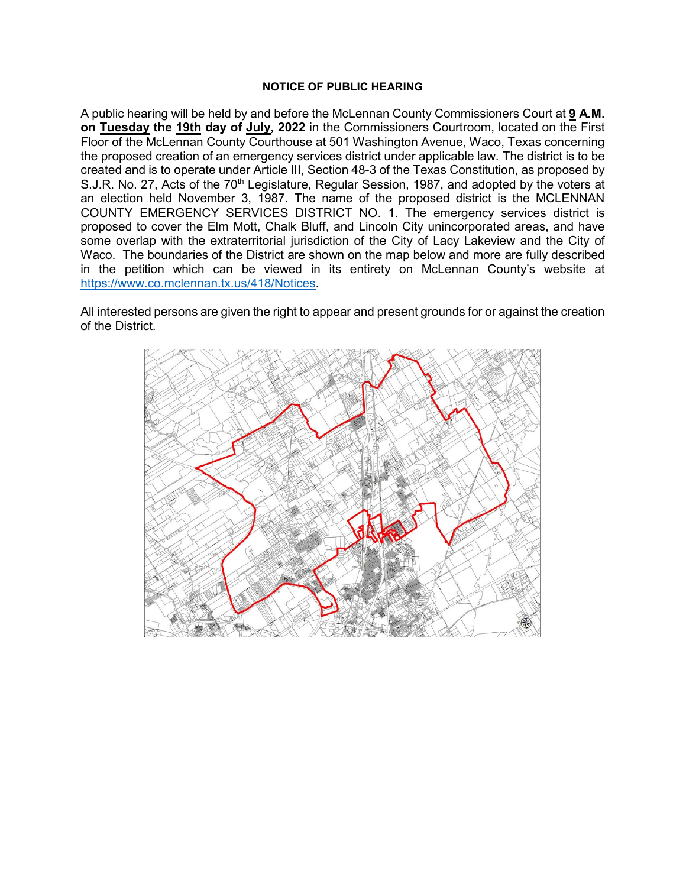### **NOTICE OF PUBLIC HEARING**

A public hearing will be held by and before the McLennan County Commissioners Court at **9 A.M. on Tuesday the 19th day of July, 2022** in the Commissioners Courtroom, located on the First Floor of the McLennan County Courthouse at 501 Washington Avenue, Waco, Texas concerning the proposed creation of an emergency services district under applicable law. The district is to be created and is to operate under Article III, Section 48-3 of the Texas Constitution, as proposed by S.J.R. No. 27, Acts of the 70<sup>th</sup> Legislature, Regular Session, 1987, and adopted by the voters at an election held November 3, 1987. The name of the proposed district is the MCLENNAN COUNTY EMERGENCY SERVICES DISTRICT NO. 1. The emergency services district is proposed to cover the Elm Mott, Chalk Bluff, and Lincoln City unincorporated areas, and have some overlap with the extraterritorial jurisdiction of the City of Lacy Lakeview and the City of Waco. The boundaries of the District are shown on the map below and more are fully described in the petition which can be viewed in its entirety on McLennan County's website at [https://www.co.mclennan.tx.us/418/Notices.](https://www.co.mclennan.tx.us/418/Notices)

All interested persons are given the right to appear and present grounds for or against the creation of the District.

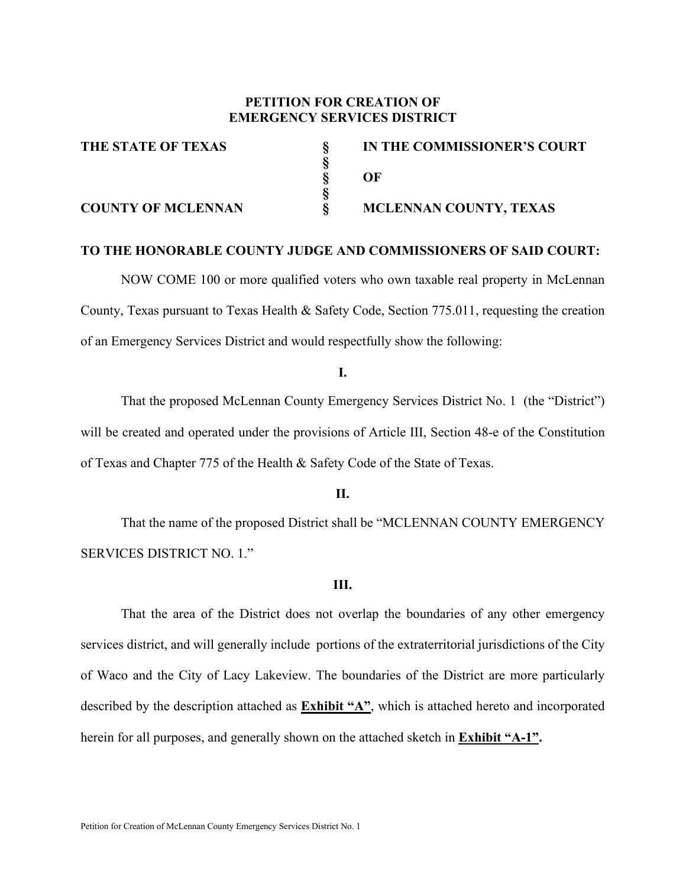## **PETITION FOR CREATION OF EMERGENCY SERVICES DISTRICT**

 **§** 

 **§** 

**THE STATE OF TEXAS § IN THE COMMISSIONER'S COURT § OF COUNTY OF MCLENNAN § MCLENNAN COUNTY, TEXAS**

## **TO THE HONORABLE COUNTY JUDGE AND COMMISSIONERS OF SAID COURT:**

NOW COME 100 or more qualified voters who own taxable real property in McLennan County, Texas pursuant to Texas Health & Safety Code, Section 775.011, requesting the creation of an Emergency Services District and would respectfully show the following:

**I.**

That the proposed McLennan County Emergency Services District No. 1 (the "District") will be created and operated under the provisions of Article III, Section 48-e of the Constitution of Texas and Chapter 775 of the Health & Safety Code of the State of Texas.

**II.**

That the name of the proposed District shall be "MCLENNAN COUNTY EMERGENCY SERVICES DISTRICT NO. 1."

### **III.**

That the area of the District does not overlap the boundaries of any other emergency services district, and will generally include portions of the extraterritorial jurisdictions of the City of Waco and the City of Lacy Lakeview. The boundaries of the District are more particularly described by the description attached as **Exhibit "A"**, which is attached hereto and incorporated herein for all purposes, and generally shown on the attached sketch in **Exhibit "A-1".**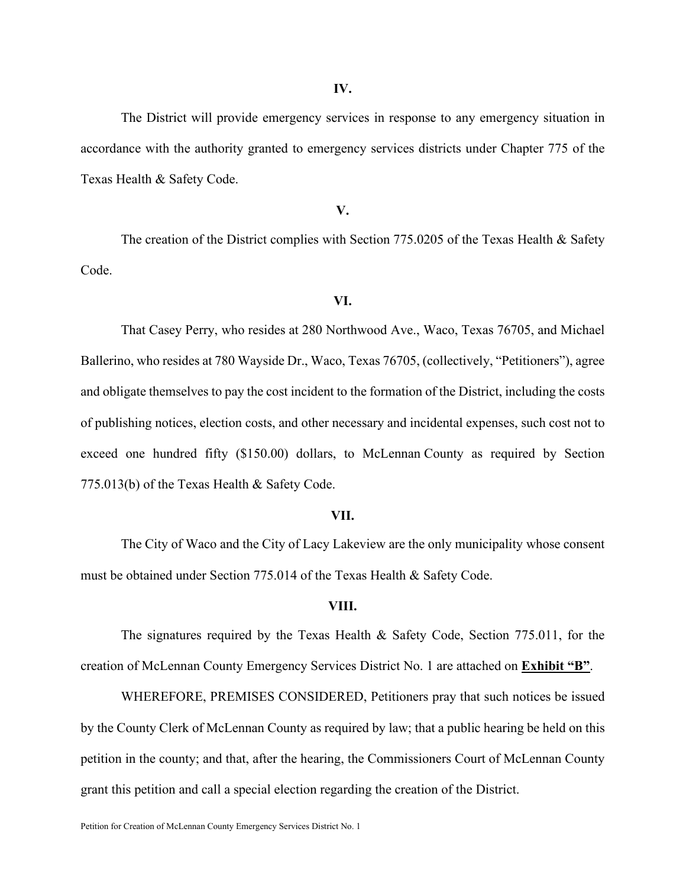The District will provide emergency services in response to any emergency situation in accordance with the authority granted to emergency services districts under Chapter 775 of the Texas Health & Safety Code.

### **V.**

The creation of the District complies with Section 775.0205 of the Texas Health & Safety Code.

### **VI.**

That Casey Perry, who resides at 280 Northwood Ave., Waco, Texas 76705, and Michael Ballerino, who resides at 780 Wayside Dr., Waco, Texas 76705, (collectively, "Petitioners"), agree and obligate themselves to pay the cost incident to the formation of the District, including the costs of publishing notices, election costs, and other necessary and incidental expenses, such cost not to exceed one hundred fifty (\$150.00) dollars, to McLennan County as required by Section 775.013(b) of the Texas Health & Safety Code.

#### **VII.**

The City of Waco and the City of Lacy Lakeview are the only municipality whose consent must be obtained under Section 775.014 of the Texas Health & Safety Code.

#### **VIII.**

The signatures required by the Texas Health & Safety Code, Section 775.011, for the creation of McLennan County Emergency Services District No. 1 are attached on **Exhibit "B"**.

WHEREFORE, PREMISES CONSIDERED, Petitioners pray that such notices be issued by the County Clerk of McLennan County as required by law; that a public hearing be held on this petition in the county; and that, after the hearing, the Commissioners Court of McLennan County grant this petition and call a special election regarding the creation of the District.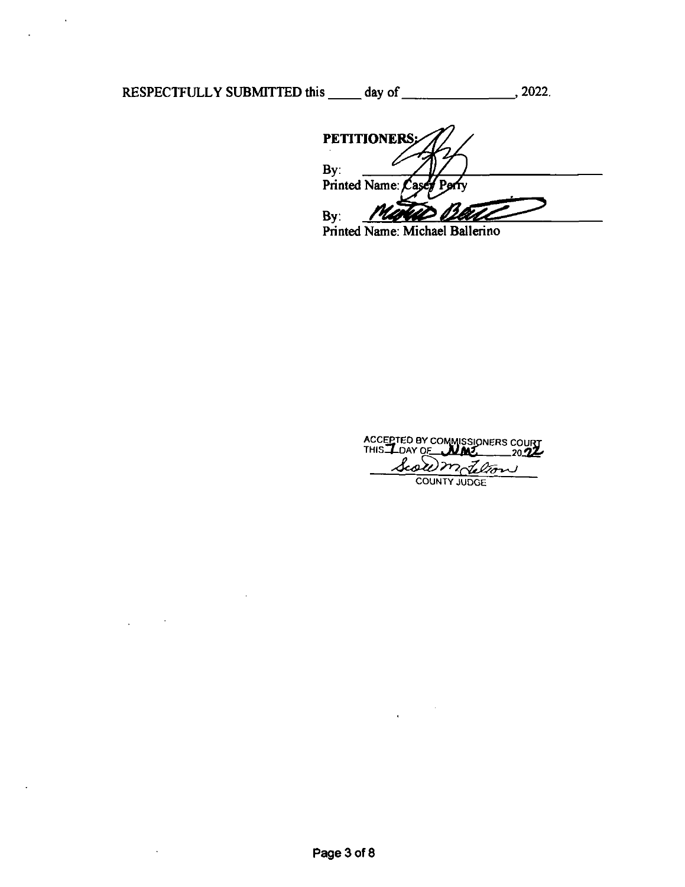RESPECTFULLY SUBMITTED this day of 2022.

 $\mathcal{A}$ 

 $\sim$ 

 $\cdot$ 

PETITIONERS;  $\begin{array}{c}\n\mathbf{By} \\
\hline\n\mathbf{By}\n\end{array}$ Printed Name: m By:

Printed Name: Michael Ballerino

ACCEPTED BY COMMISSIONERS COU ACCEPTED BY COMMISSIONERS CO<br>THIS LOAY OF **NAY 1989** Scowm delton

 $\bar{z}$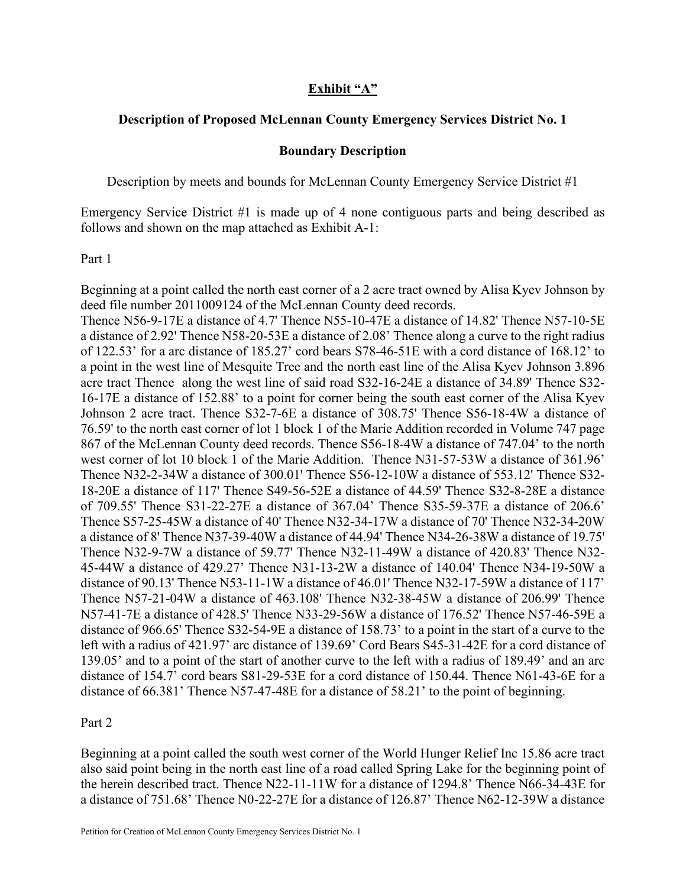## **Exhibit "A"**

## **Description of Proposed McLennan County Emergency Services District No. 1**

## **Boundary Description**

Description by meets and bounds for McLennan County Emergency Service District #1

Emergency Service District #1 is made up of 4 none contiguous parts and being described as follows and shown on the map attached as Exhibit A-1:

## Part 1

Beginning at a point called the north east corner of a 2 acre tract owned by Alisa Kyev Johnson by deed file number 2011009124 of the McLennan County deed records.

Thence N56-9-17E a distance of 4.7' Thence N55-10-47E a distance of 14.82' Thence N57-10-5E a distance of 2.92' Thence N58-20-53E a distance of 2.08' Thence along a curve to the right radius of 122.53' for a arc distance of 185.27' cord bears S78-46-51E with a cord distance of 168.12' to a point in the west line of Mesquite Tree and the north east line of the Alisa Kyev Johnson 3.896 acre tract Thence along the west line of said road S32-16-24E a distance of 34.89' Thence S32- 16-17E a distance of 152.88' to a point for corner being the south east corner of the Alisa Kyev Johnson 2 acre tract. Thence S32-7-6E a distance of 308.75' Thence S56-18-4W a distance of 76.59' to the north east corner of lot 1 block 1 of the Marie Addition recorded in Volume 747 page 867 of the McLennan County deed records. Thence S56-18-4W a distance of 747.04' to the north west corner of lot 10 block 1 of the Marie Addition. Thence N31-57-53W a distance of 361.96' Thence N32-2-34W a distance of 300.01' Thence S56-12-10W a distance of 553.12' Thence S32- 18-20E a distance of 117' Thence S49-56-52E a distance of 44.59' Thence S32-8-28E a distance of 709.55' Thence S31-22-27E a distance of 367.04' Thence S35-59-37E a distance of 206.6' Thence S57-25-45W a distance of 40' Thence N32-34-17W a distance of 70' Thence N32-34-20W a distance of 8' Thence N37-39-40W a distance of 44.94' Thence N34-26-38W a distance of 19.75' Thence N32-9-7W a distance of 59.77' Thence N32-11-49W a distance of 420.83' Thence N32- 45-44W a distance of 429.27' Thence N31-13-2W a distance of 140.04' Thence N34-19-50W a distance of 90.13' Thence N53-11-1W a distance of 46.01' Thence N32-17-59W a distance of 117' Thence N57-21-04W a distance of 463.108' Thence N32-38-45W a distance of 206.99' Thence N57-41-7E a distance of 428.5' Thence N33-29-56W a distance of 176.52' Thence N57-46-59E a distance of 966.65' Thence S32-54-9E a distance of 158.73' to a point in the start of a curve to the left with a radius of 421.97' arc distance of 139.69' Cord Bears S45-31-42E for a cord distance of 139.05' and to a point of the start of another curve to the left with a radius of 189.49' and an arc distance of 154.7' cord bears S81-29-53E for a cord distance of 150.44. Thence N61-43-6E for a distance of 66.381' Thence N57-47-48E for a distance of 58.21' to the point of beginning.

## Part 2

Beginning at a point called the south west corner of the World Hunger Relief Inc 15.86 acre tract also said point being in the north east line of a road called Spring Lake for the beginning point of the herein described tract. Thence N22-11-11W for a distance of 1294.8' Thence N66-34-43E for a distance of 751.68' Thence N0-22-27E for a distance of 126.87' Thence N62-12-39W a distance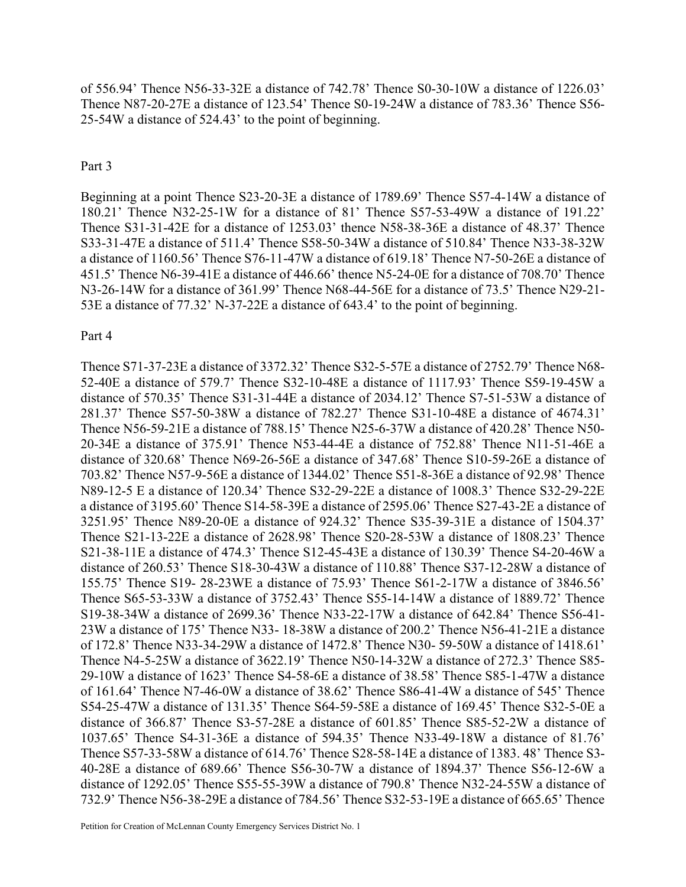of 556.94' Thence N56-33-32E a distance of 742.78' Thence S0-30-10W a distance of 1226.03' Thence N87-20-27E a distance of 123.54' Thence S0-19-24W a distance of 783.36' Thence S56- 25-54W a distance of 524.43' to the point of beginning.

## Part 3

Beginning at a point Thence S23-20-3E a distance of 1789.69' Thence S57-4-14W a distance of 180.21' Thence N32-25-1W for a distance of 81' Thence S57-53-49W a distance of 191.22' Thence S31-31-42E for a distance of 1253.03' thence N58-38-36E a distance of 48.37' Thence S33-31-47E a distance of 511.4' Thence S58-50-34W a distance of 510.84' Thence N33-38-32W a distance of 1160.56' Thence S76-11-47W a distance of 619.18' Thence N7-50-26E a distance of 451.5' Thence N6-39-41E a distance of 446.66' thence N5-24-0E for a distance of 708.70' Thence N3-26-14W for a distance of 361.99' Thence N68-44-56E for a distance of 73.5' Thence N29-21- 53E a distance of 77.32' N-37-22E a distance of 643.4' to the point of beginning.

### Part 4

Thence S71-37-23E a distance of 3372.32' Thence S32-5-57E a distance of 2752.79' Thence N68- 52-40E a distance of 579.7' Thence S32-10-48E a distance of 1117.93' Thence S59-19-45W a distance of 570.35' Thence S31-31-44E a distance of 2034.12' Thence S7-51-53W a distance of 281.37' Thence S57-50-38W a distance of 782.27' Thence S31-10-48E a distance of 4674.31' Thence N56-59-21E a distance of 788.15' Thence N25-6-37W a distance of 420.28' Thence N50- 20-34E a distance of 375.91' Thence N53-44-4E a distance of 752.88' Thence N11-51-46E a distance of 320.68' Thence N69-26-56E a distance of 347.68' Thence S10-59-26E a distance of 703.82' Thence N57-9-56E a distance of 1344.02' Thence S51-8-36E a distance of 92.98' Thence N89-12-5 E a distance of 120.34' Thence S32-29-22E a distance of 1008.3' Thence S32-29-22E a distance of 3195.60' Thence S14-58-39E a distance of 2595.06' Thence S27-43-2E a distance of 3251.95' Thence N89-20-0E a distance of 924.32' Thence S35-39-31E a distance of 1504.37' Thence S21-13-22E a distance of 2628.98' Thence S20-28-53W a distance of 1808.23' Thence S21-38-11E a distance of 474.3' Thence S12-45-43E a distance of 130.39' Thence S4-20-46W a distance of 260.53' Thence S18-30-43W a distance of 110.88' Thence S37-12-28W a distance of 155.75' Thence S19- 28-23WE a distance of 75.93' Thence S61-2-17W a distance of 3846.56' Thence S65-53-33W a distance of 3752.43' Thence S55-14-14W a distance of 1889.72' Thence S19-38-34W a distance of 2699.36' Thence N33-22-17W a distance of 642.84' Thence S56-41- 23W a distance of 175' Thence N33- 18-38W a distance of 200.2' Thence N56-41-21E a distance of 172.8' Thence N33-34-29W a distance of 1472.8' Thence N30- 59-50W a distance of 1418.61' Thence N4-5-25W a distance of 3622.19' Thence N50-14-32W a distance of 272.3' Thence S85- 29-10W a distance of 1623' Thence S4-58-6E a distance of 38.58' Thence S85-1-47W a distance of 161.64' Thence N7-46-0W a distance of 38.62' Thence S86-41-4W a distance of 545' Thence S54-25-47W a distance of 131.35' Thence S64-59-58E a distance of 169.45' Thence S32-5-0E a distance of 366.87' Thence S3-57-28E a distance of 601.85' Thence S85-52-2W a distance of 1037.65' Thence S4-31-36E a distance of 594.35' Thence N33-49-18W a distance of 81.76' Thence S57-33-58W a distance of 614.76' Thence S28-58-14E a distance of 1383. 48' Thence S3- 40-28E a distance of 689.66' Thence S56-30-7W a distance of 1894.37' Thence S56-12-6W a distance of 1292.05' Thence S55-55-39W a distance of 790.8' Thence N32-24-55W a distance of 732.9' Thence N56-38-29E a distance of 784.56' Thence S32-53-19E a distance of 665.65' Thence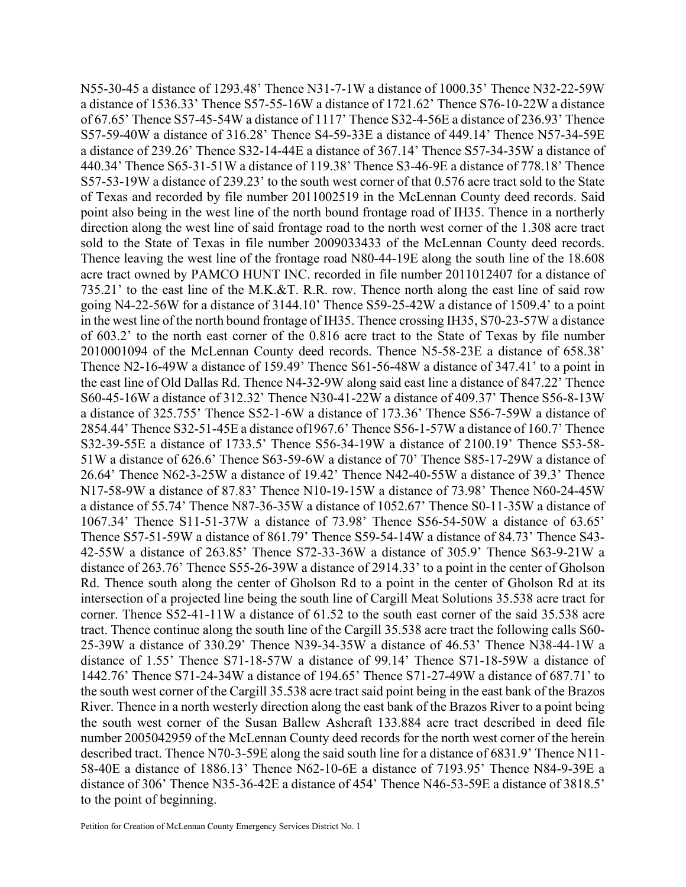N55-30-45 a distance of 1293.48' Thence N31-7-1W a distance of 1000.35' Thence N32-22-59W a distance of 1536.33' Thence S57-55-16W a distance of 1721.62' Thence S76-10-22W a distance of 67.65' Thence S57-45-54W a distance of 1117' Thence S32-4-56E a distance of 236.93' Thence S57-59-40W a distance of 316.28' Thence S4-59-33E a distance of 449.14' Thence N57-34-59E a distance of 239.26' Thence S32-14-44E a distance of 367.14' Thence S57-34-35W a distance of 440.34' Thence S65-31-51W a distance of 119.38' Thence S3-46-9E a distance of 778.18' Thence S57-53-19W a distance of 239.23' to the south west corner of that 0.576 acre tract sold to the State of Texas and recorded by file number 2011002519 in the McLennan County deed records. Said point also being in the west line of the north bound frontage road of IH35. Thence in a northerly direction along the west line of said frontage road to the north west corner of the 1.308 acre tract sold to the State of Texas in file number 2009033433 of the McLennan County deed records. Thence leaving the west line of the frontage road N80-44-19E along the south line of the 18.608 acre tract owned by PAMCO HUNT INC. recorded in file number 2011012407 for a distance of 735.21' to the east line of the M.K.&T. R.R. row. Thence north along the east line of said row going N4-22-56W for a distance of 3144.10' Thence S59-25-42W a distance of 1509.4' to a point in the west line of the north bound frontage of IH35. Thence crossing IH35, S70-23-57W a distance of 603.2' to the north east corner of the 0.816 acre tract to the State of Texas by file number 2010001094 of the McLennan County deed records. Thence N5-58-23E a distance of 658.38' Thence N2-16-49W a distance of 159.49' Thence S61-56-48W a distance of 347.41' to a point in the east line of Old Dallas Rd. Thence N4-32-9W along said east line a distance of 847.22' Thence S60-45-16W a distance of 312.32' Thence N30-41-22W a distance of 409.37' Thence S56-8-13W a distance of 325.755' Thence S52-1-6W a distance of 173.36' Thence S56-7-59W a distance of 2854.44' Thence S32-51-45E a distance of1967.6' Thence S56-1-57W a distance of 160.7' Thence S32-39-55E a distance of 1733.5' Thence S56-34-19W a distance of 2100.19' Thence S53-58- 51W a distance of 626.6' Thence S63-59-6W a distance of 70' Thence S85-17-29W a distance of 26.64' Thence N62-3-25W a distance of 19.42' Thence N42-40-55W a distance of 39.3' Thence N17-58-9W a distance of 87.83' Thence N10-19-15W a distance of 73.98' Thence N60-24-45W a distance of 55.74' Thence N87-36-35W a distance of 1052.67' Thence S0-11-35W a distance of 1067.34' Thence S11-51-37W a distance of 73.98' Thence S56-54-50W a distance of 63.65' Thence S57-51-59W a distance of 861.79' Thence S59-54-14W a distance of 84.73' Thence S43- 42-55W a distance of 263.85' Thence S72-33-36W a distance of 305.9' Thence S63-9-21W a distance of 263.76' Thence S55-26-39W a distance of 2914.33' to a point in the center of Gholson Rd. Thence south along the center of Gholson Rd to a point in the center of Gholson Rd at its intersection of a projected line being the south line of Cargill Meat Solutions 35.538 acre tract for corner. Thence S52-41-11W a distance of 61.52 to the south east corner of the said 35.538 acre tract. Thence continue along the south line of the Cargill 35.538 acre tract the following calls S60- 25-39W a distance of 330.29' Thence N39-34-35W a distance of 46.53' Thence N38-44-1W a distance of 1.55' Thence S71-18-57W a distance of 99.14' Thence S71-18-59W a distance of 1442.76' Thence S71-24-34W a distance of 194.65' Thence S71-27-49W a distance of 687.71' to the south west corner of the Cargill 35.538 acre tract said point being in the east bank of the Brazos River. Thence in a north westerly direction along the east bank of the Brazos River to a point being the south west corner of the Susan Ballew Ashcraft 133.884 acre tract described in deed file number 2005042959 of the McLennan County deed records for the north west corner of the herein described tract. Thence N70-3-59E along the said south line for a distance of 6831.9' Thence N11- 58-40E a distance of 1886.13' Thence N62-10-6E a distance of 7193.95' Thence N84-9-39E a distance of 306' Thence N35-36-42E a distance of 454' Thence N46-53-59E a distance of 3818.5' to the point of beginning.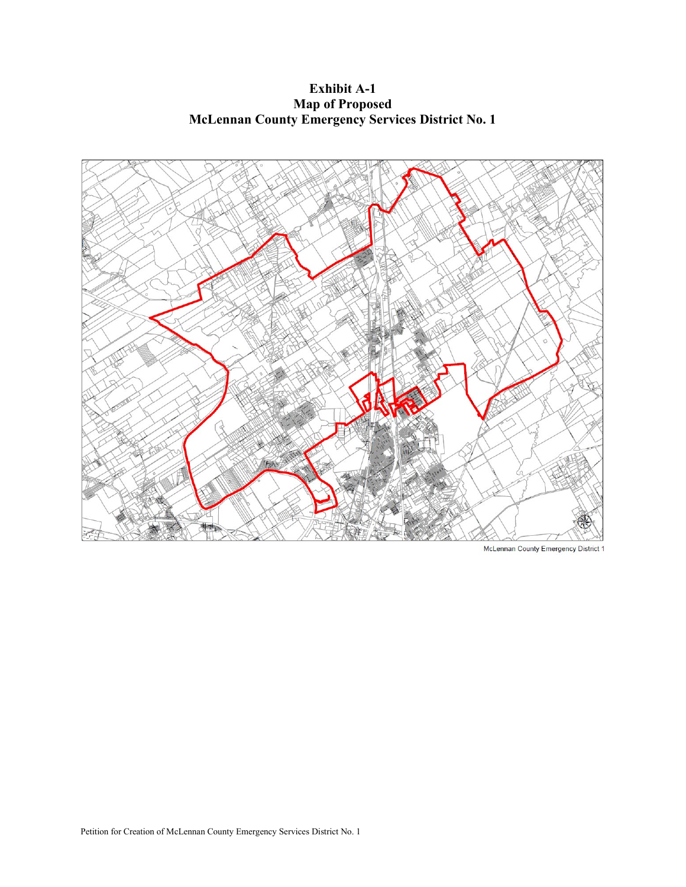**Exhibit A-1 Map of Proposed McLennan County Emergency Services District No. 1**



McLennan County Emergency District 1